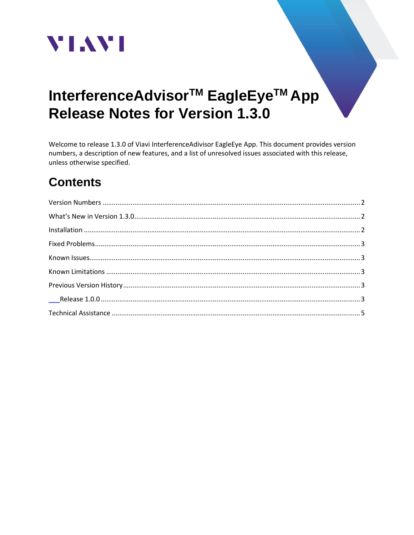

# InterferenceAdvisor<sup>™</sup> EagleEye<sup>™</sup> App **Release Notes for Version 1.3.0**

Welcome to release 1.3.0 of Viavi InterferenceAdivisor EagleEye App. This document provides version numbers, a description of new features, and a list of unresolved issues associated with this release, unless otherwise specified.

# **Contents**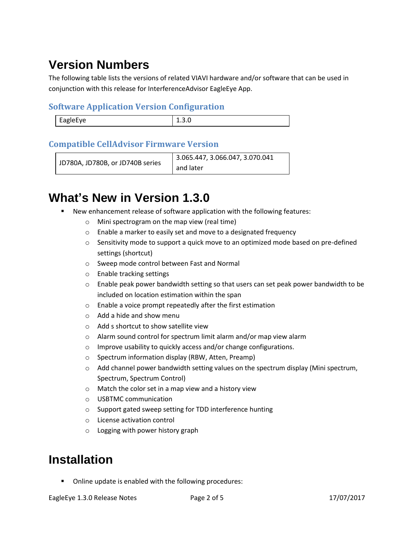# <span id="page-1-0"></span>**Version Numbers**

The following table lists the versions of related VIAVI hardware and/or software that can be used in conjunction with this release for InterferenceAdvisor EagleEye App.

#### **Software Application Version Configuration**

| EagleEye |  |
|----------|--|
|          |  |

### **Compatible CellAdvisor Firmware Version**

```
JD780A, JD780B, or JD740B series
                         3.065.447, 3.066.047, 3.070.041 
                         and later
```
# <span id="page-1-1"></span>**What's New in Version 1.3.0**

- New enhancement release of software application with the following features:
	- o Mini spectrogram on the map view (real time)
	- o Enable a marker to easily set and move to a designated frequency
	- $\circ$  Sensitivity mode to support a quick move to an optimized mode based on pre-defined settings (shortcut)
	- o Sweep mode control between Fast and Normal
	- o Enable tracking settings
	- $\circ$  Enable peak power bandwidth setting so that users can set peak power bandwidth to be included on location estimation within the span
	- o Enable a voice prompt repeatedly after the first estimation
	- o Add a hide and show menu
	- o Add s shortcut to show satellite view
	- o Alarm sound control for spectrum limit alarm and/or map view alarm
	- o Improve usability to quickly access and/or change configurations.
	- o Spectrum information display (RBW, Atten, Preamp)
	- $\circ$  Add channel power bandwidth setting values on the spectrum display (Mini spectrum, Spectrum, Spectrum Control)
	- o Match the color set in a map view and a history view
	- o USBTMC communication
	- o Support gated sweep setting for TDD interference hunting
	- o License activation control
	- o Logging with power history graph

## <span id="page-1-2"></span>**Installation**

■ Online update is enabled with the following procedures: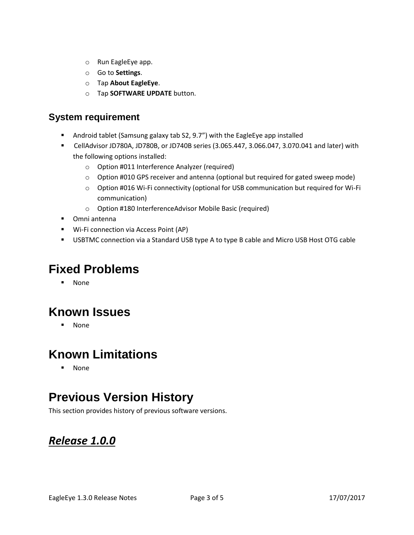- o Run EagleEye app.
- o Go to **Settings**.
- o Tap **About EagleEye**.
- o Tap **SOFTWARE UPDATE** button.

### **System requirement**

- Android tablet (Samsung galaxy tab S2, 9.7") with the EagleEye app installed
- CellAdvisor JD780A, JD780B, or JD740B series (3.065.447, 3.066.047, 3.070.041 and later) with the following options installed:
	- o Option #011 Interference Analyzer (required)
	- $\circ$  Option #010 GPS receiver and antenna (optional but required for gated sweep mode)
	- o Option #016 Wi-Fi connectivity (optional for USB communication but required for Wi-Fi communication)
	- o Option #180 InterferenceAdvisor Mobile Basic (required)
- Omni antenna
- Wi-Fi connection via Access Point (AP)
- **EXECTMER 19 IS NOTE 2018 THE VISTOM CONSTANT OF STANDARY CONSTANTS IS USTED** Cable

# <span id="page-2-0"></span>**Fixed Problems**

▪ None

# <span id="page-2-1"></span>**Known Issues**

▪ None

# <span id="page-2-2"></span>**Known Limitations**

▪ None

# <span id="page-2-3"></span>**Previous Version History**

This section provides history of previous software versions.

## <span id="page-2-4"></span>*Release 1.0.0*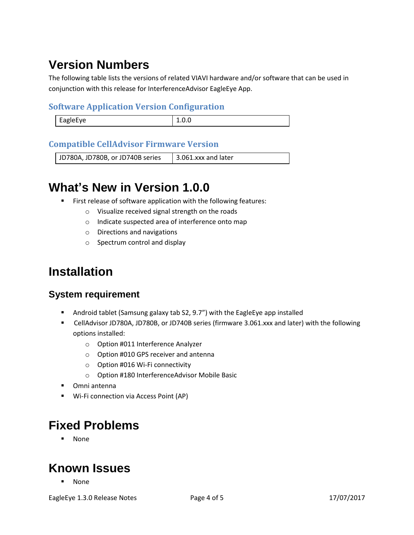# **Version Numbers**

The following table lists the versions of related VIAVI hardware and/or software that can be used in conjunction with this release for InterferenceAdvisor EagleEye App.

#### **Software Application Version Configuration**

| EagleEye | ⊥.∪.∪ |
|----------|-------|
|          |       |

### **Compatible CellAdvisor Firmware Version**

JD780A, JD780B, or JD740B series  $\vert$  3.061.xxx and later

# **What's New in Version 1.0.0**

- First release of software application with the following features:
	- o Visualize received signal strength on the roads
	- o Indicate suspected area of interference onto map
	- o Directions and navigations
	- o Spectrum control and display

# **Installation**

## **System requirement**

- Android tablet (Samsung galaxy tab S2, 9.7") with the EagleEye app installed
- CellAdvisor JD780A, JD780B, or JD740B series (firmware 3.061.xxx and later) with the following options installed:
	- o Option #011 Interference Analyzer
	- o Option #010 GPS receiver and antenna
	- o Option #016 Wi-Fi connectivity
	- o Option #180 InterferenceAdvisor Mobile Basic
- Omni antenna
- Wi-Fi connection via Access Point (AP)

# **Fixed Problems**

▪ None

# **Known Issues**

▪ None

EagleEye 1.3.0 Release Notes **Page 4 of 5** 17/07/2017